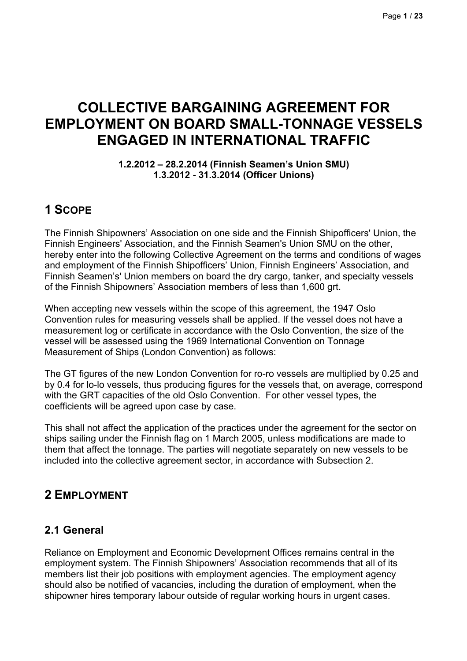# **COLLECTIVE BARGAINING AGREEMENT FOR EMPLOYMENT ON BOARD SMALL-TONNAGE VESSELS ENGAGED IN INTERNATIONAL TRAFFIC**

#### **1.2.2012 – 28.2.2014 (Finnish Seamen's Union SMU) 1.3.2012 - 31.3.2014 (Officer Unions)**

# **1 SCOPE**

The Finnish Shipowners' Association on one side and the Finnish Shipofficers' Union, the Finnish Engineers' Association, and the Finnish Seamen's Union SMU on the other, hereby enter into the following Collective Agreement on the terms and conditions of wages and employment of the Finnish Shipofficers' Union, Finnish Engineers' Association, and Finnish Seamen's' Union members on board the dry cargo, tanker, and specialty vessels of the Finnish Shipowners' Association members of less than 1,600 grt.

When accepting new vessels within the scope of this agreement, the 1947 Oslo Convention rules for measuring vessels shall be applied. If the vessel does not have a measurement log or certificate in accordance with the Oslo Convention, the size of the vessel will be assessed using the 1969 International Convention on Tonnage Measurement of Ships (London Convention) as follows:

The GT figures of the new London Convention for ro-ro vessels are multiplied by 0.25 and by 0.4 for lo-lo vessels, thus producing figures for the vessels that, on average, correspond with the GRT capacities of the old Oslo Convention. For other vessel types, the coefficients will be agreed upon case by case.

This shall not affect the application of the practices under the agreement for the sector on ships sailing under the Finnish flag on 1 March 2005, unless modifications are made to them that affect the tonnage. The parties will negotiate separately on new vessels to be included into the collective agreement sector, in accordance with Subsection 2.

# **2 EMPLOYMENT**

# **2.1 General**

Reliance on Employment and Economic Development Offices remains central in the employment system. The Finnish Shipowners' Association recommends that all of its members list their job positions with employment agencies. The employment agency should also be notified of vacancies, including the duration of employment, when the shipowner hires temporary labour outside of regular working hours in urgent cases.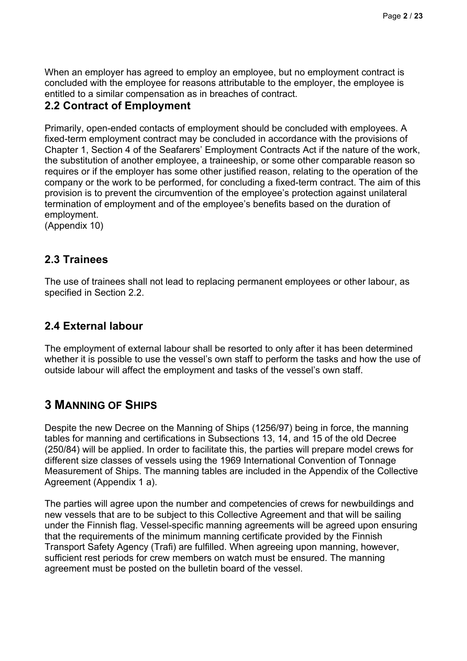When an employer has agreed to employ an employee, but no employment contract is concluded with the employee for reasons attributable to the employer, the employee is entitled to a similar compensation as in breaches of contract.

## **2.2 Contract of Employment**

Primarily, open-ended contacts of employment should be concluded with employees. A fixed-term employment contract may be concluded in accordance with the provisions of Chapter 1, Section 4 of the Seafarers' Employment Contracts Act if the nature of the work, the substitution of another employee, a traineeship, or some other comparable reason so requires or if the employer has some other justified reason, relating to the operation of the company or the work to be performed, for concluding a fixed-term contract. The aim of this provision is to prevent the circumvention of the employee's protection against unilateral termination of employment and of the employee's benefits based on the duration of employment.

(Appendix 10)

## **2.3 Trainees**

The use of trainees shall not lead to replacing permanent employees or other labour, as specified in Section 2.2.

# **2.4 External labour**

The employment of external labour shall be resorted to only after it has been determined whether it is possible to use the vessel's own staff to perform the tasks and how the use of outside labour will affect the employment and tasks of the vessel's own staff.

# **3 MANNING OF SHIPS**

Despite the new Decree on the Manning of Ships (1256/97) being in force, the manning tables for manning and certifications in Subsections 13, 14, and 15 of the old Decree (250/84) will be applied. In order to facilitate this, the parties will prepare model crews for different size classes of vessels using the 1969 International Convention of Tonnage Measurement of Ships. The manning tables are included in the Appendix of the Collective Agreement (Appendix 1 a).

The parties will agree upon the number and competencies of crews for newbuildings and new vessels that are to be subject to this Collective Agreement and that will be sailing under the Finnish flag. Vessel-specific manning agreements will be agreed upon ensuring that the requirements of the minimum manning certificate provided by the Finnish Transport Safety Agency (Trafi) are fulfilled. When agreeing upon manning, however, sufficient rest periods for crew members on watch must be ensured. The manning agreement must be posted on the bulletin board of the vessel.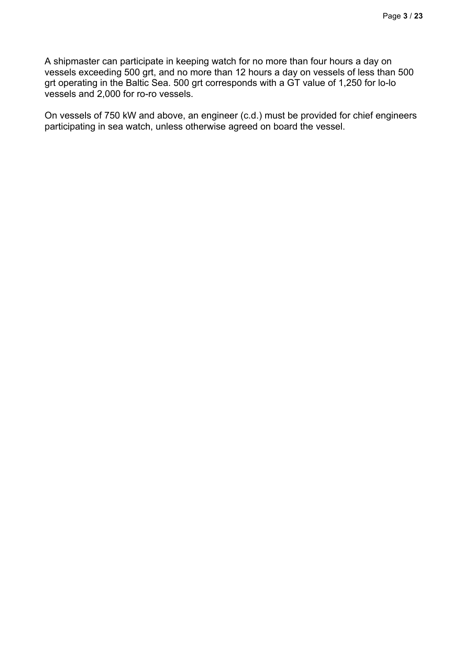A shipmaster can participate in keeping watch for no more than four hours a day on vessels exceeding 500 grt, and no more than 12 hours a day on vessels of less than 500 grt operating in the Baltic Sea. 500 grt corresponds with a GT value of 1,250 for lo-lo vessels and 2,000 for ro-ro vessels.

On vessels of 750 kW and above, an engineer (c.d.) must be provided for chief engineers participating in sea watch, unless otherwise agreed on board the vessel.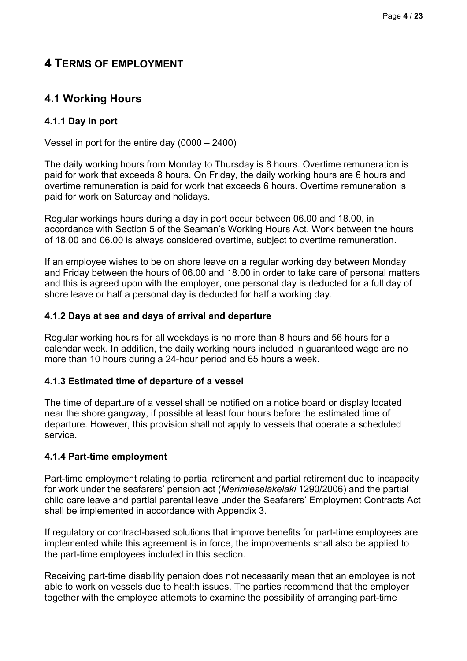# **4 TERMS OF EMPLOYMENT**

# **4.1 Working Hours**

### **4.1.1 Day in port**

Vessel in port for the entire day (0000 – 2400)

The daily working hours from Monday to Thursday is 8 hours. Overtime remuneration is paid for work that exceeds 8 hours. On Friday, the daily working hours are 6 hours and overtime remuneration is paid for work that exceeds 6 hours. Overtime remuneration is paid for work on Saturday and holidays.

Regular workings hours during a day in port occur between 06.00 and 18.00, in accordance with Section 5 of the Seaman's Working Hours Act. Work between the hours of 18.00 and 06.00 is always considered overtime, subject to overtime remuneration.

If an employee wishes to be on shore leave on a regular working day between Monday and Friday between the hours of 06.00 and 18.00 in order to take care of personal matters and this is agreed upon with the employer, one personal day is deducted for a full day of shore leave or half a personal day is deducted for half a working day.

#### **4.1.2 Days at sea and days of arrival and departure**

Regular working hours for all weekdays is no more than 8 hours and 56 hours for a calendar week. In addition, the daily working hours included in guaranteed wage are no more than 10 hours during a 24-hour period and 65 hours a week.

#### **4.1.3 Estimated time of departure of a vessel**

The time of departure of a vessel shall be notified on a notice board or display located near the shore gangway, if possible at least four hours before the estimated time of departure. However, this provision shall not apply to vessels that operate a scheduled service.

#### **4.1.4 Part-time employment**

Part-time employment relating to partial retirement and partial retirement due to incapacity for work under the seafarers' pension act (*Merimieseläkelaki* 1290/2006) and the partial child care leave and partial parental leave under the Seafarers' Employment Contracts Act shall be implemented in accordance with Appendix 3.

If regulatory or contract-based solutions that improve benefits for part-time employees are implemented while this agreement is in force, the improvements shall also be applied to the part-time employees included in this section.

Receiving part-time disability pension does not necessarily mean that an employee is not able to work on vessels due to health issues. The parties recommend that the employer together with the employee attempts to examine the possibility of arranging part-time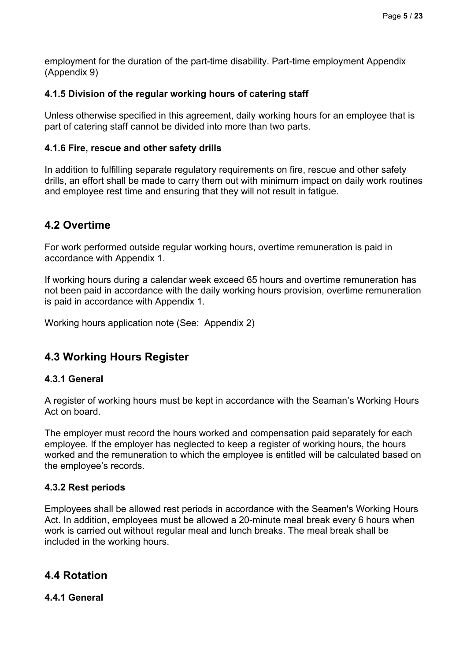employment for the duration of the part-time disability. Part-time employment Appendix (Appendix 9)

#### **4.1.5 Division of the regular working hours of catering staff**

Unless otherwise specified in this agreement, daily working hours for an employee that is part of catering staff cannot be divided into more than two parts.

#### **4.1.6 Fire, rescue and other safety drills**

In addition to fulfilling separate regulatory requirements on fire, rescue and other safety drills, an effort shall be made to carry them out with minimum impact on daily work routines and employee rest time and ensuring that they will not result in fatigue.

# **4.2 Overtime**

For work performed outside regular working hours, overtime remuneration is paid in accordance with Appendix 1.

If working hours during a calendar week exceed 65 hours and overtime remuneration has not been paid in accordance with the daily working hours provision, overtime remuneration is paid in accordance with Appendix 1.

Working hours application note (See: Appendix 2)

# **4.3 Working Hours Register**

#### **4.3.1 General**

A register of working hours must be kept in accordance with the Seaman's Working Hours Act on board.

The employer must record the hours worked and compensation paid separately for each employee. If the employer has neglected to keep a register of working hours, the hours worked and the remuneration to which the employee is entitled will be calculated based on the employee's records.

#### **4.3.2 Rest periods**

Employees shall be allowed rest periods in accordance with the Seamen's Working Hours Act. In addition, employees must be allowed a 20-minute meal break every 6 hours when work is carried out without regular meal and lunch breaks. The meal break shall be included in the working hours.

## **4.4 Rotation**

#### **4.4.1 General**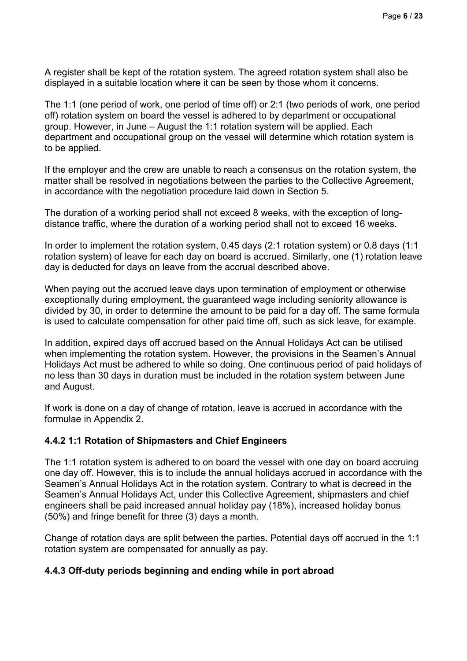A register shall be kept of the rotation system. The agreed rotation system shall also be displayed in a suitable location where it can be seen by those whom it concerns.

The 1:1 (one period of work, one period of time off) or 2:1 (two periods of work, one period off) rotation system on board the vessel is adhered to by department or occupational group. However, in June – August the 1:1 rotation system will be applied. Each department and occupational group on the vessel will determine which rotation system is to be applied.

If the employer and the crew are unable to reach a consensus on the rotation system, the matter shall be resolved in negotiations between the parties to the Collective Agreement, in accordance with the negotiation procedure laid down in Section 5.

The duration of a working period shall not exceed 8 weeks, with the exception of longdistance traffic, where the duration of a working period shall not to exceed 16 weeks.

In order to implement the rotation system, 0.45 days (2:1 rotation system) or 0.8 days (1:1 rotation system) of leave for each day on board is accrued. Similarly, one (1) rotation leave day is deducted for days on leave from the accrual described above.

When paying out the accrued leave days upon termination of employment or otherwise exceptionally during employment, the guaranteed wage including seniority allowance is divided by 30, in order to determine the amount to be paid for a day off. The same formula is used to calculate compensation for other paid time off, such as sick leave, for example.

In addition, expired days off accrued based on the Annual Holidays Act can be utilised when implementing the rotation system. However, the provisions in the Seamen's Annual Holidays Act must be adhered to while so doing. One continuous period of paid holidays of no less than 30 days in duration must be included in the rotation system between June and August.

If work is done on a day of change of rotation, leave is accrued in accordance with the formulae in Appendix 2.

#### **4.4.2 1:1 Rotation of Shipmasters and Chief Engineers**

The 1:1 rotation system is adhered to on board the vessel with one day on board accruing one day off. However, this is to include the annual holidays accrued in accordance with the Seamen's Annual Holidays Act in the rotation system. Contrary to what is decreed in the Seamen's Annual Holidays Act, under this Collective Agreement, shipmasters and chief engineers shall be paid increased annual holiday pay (18%), increased holiday bonus (50%) and fringe benefit for three (3) days a month.

Change of rotation days are split between the parties. Potential days off accrued in the 1:1 rotation system are compensated for annually as pay.

#### **4.4.3 Off-duty periods beginning and ending while in port abroad**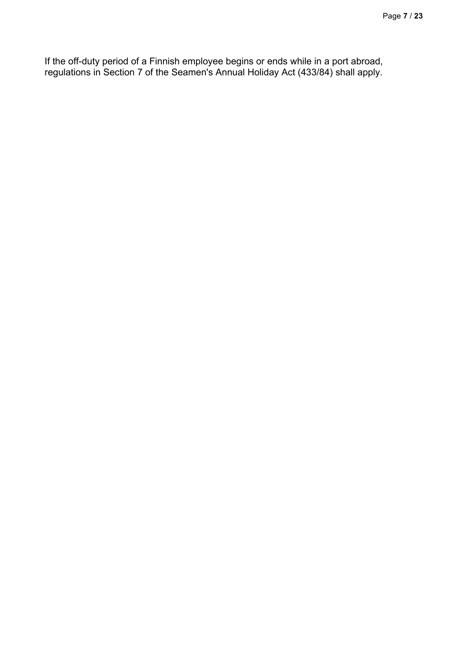If the off-duty period of a Finnish employee begins or ends while in a port abroad, regulations in Section 7 of the Seamen's Annual Holiday Act (433/84) shall apply.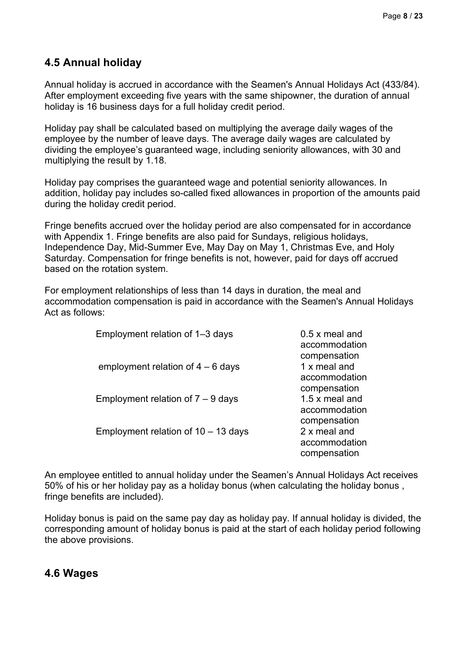# **4.5 Annual holiday**

Annual holiday is accrued in accordance with the Seamen's Annual Holidays Act (433/84). After employment exceeding five years with the same shipowner, the duration of annual holiday is 16 business days for a full holiday credit period.

Holiday pay shall be calculated based on multiplying the average daily wages of the employee by the number of leave days. The average daily wages are calculated by dividing the employee's guaranteed wage, including seniority allowances, with 30 and multiplying the result by 1.18.

Holiday pay comprises the guaranteed wage and potential seniority allowances. In addition, holiday pay includes so-called fixed allowances in proportion of the amounts paid during the holiday credit period.

Fringe benefits accrued over the holiday period are also compensated for in accordance with Appendix 1. Fringe benefits are also paid for Sundays, religious holidays, Independence Day, Mid-Summer Eve, May Day on May 1, Christmas Eve, and Holy Saturday. Compensation for fringe benefits is not, however, paid for days off accrued based on the rotation system.

For employment relationships of less than 14 days in duration, the meal and accommodation compensation is paid in accordance with the Seamen's Annual Holidays Act as follows:

| Employment relation of 1-3 days       | $0.5 x$ meal and<br>accommodation                               |
|---------------------------------------|-----------------------------------------------------------------|
| employment relation of $4 - 6$ days   | compensation<br>1 x meal and<br>accommodation                   |
| Employment relation of $7 - 9$ days   | compensation<br>1.5 x meal and<br>accommodation<br>compensation |
| Employment relation of $10 - 13$ days | 2 x meal and<br>accommodation<br>compensation                   |

An employee entitled to annual holiday under the Seamen's Annual Holidays Act receives 50% of his or her holiday pay as a holiday bonus (when calculating the holiday bonus , fringe benefits are included).

Holiday bonus is paid on the same pay day as holiday pay. If annual holiday is divided, the corresponding amount of holiday bonus is paid at the start of each holiday period following the above provisions.

## **4.6 Wages**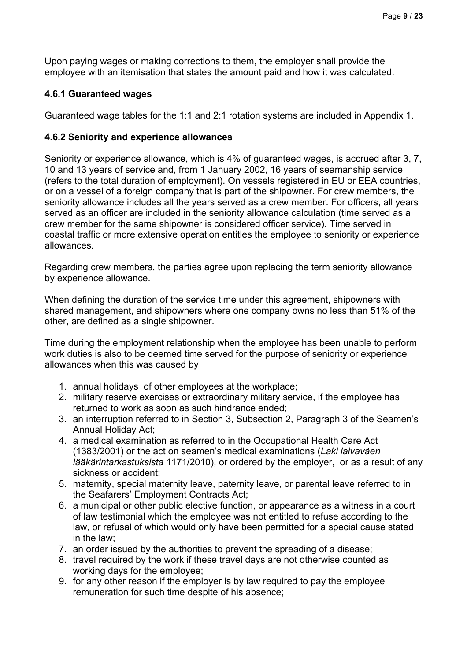Upon paying wages or making corrections to them, the employer shall provide the employee with an itemisation that states the amount paid and how it was calculated.

### **4.6.1 Guaranteed wages**

Guaranteed wage tables for the 1:1 and 2:1 rotation systems are included in Appendix 1.

### **4.6.2 Seniority and experience allowances**

Seniority or experience allowance, which is 4% of guaranteed wages, is accrued after 3, 7, 10 and 13 years of service and, from 1 January 2002, 16 years of seamanship service (refers to the total duration of employment). On vessels registered in EU or EEA countries, or on a vessel of a foreign company that is part of the shipowner. For crew members, the seniority allowance includes all the years served as a crew member. For officers, all years served as an officer are included in the seniority allowance calculation (time served as a crew member for the same shipowner is considered officer service). Time served in coastal traffic or more extensive operation entitles the employee to seniority or experience allowances.

Regarding crew members, the parties agree upon replacing the term seniority allowance by experience allowance.

When defining the duration of the service time under this agreement, shipowners with shared management, and shipowners where one company owns no less than 51% of the other, are defined as a single shipowner.

Time during the employment relationship when the employee has been unable to perform work duties is also to be deemed time served for the purpose of seniority or experience allowances when this was caused by

- 1. annual holidays of other employees at the workplace;
- 2. military reserve exercises or extraordinary military service, if the employee has returned to work as soon as such hindrance ended;
- 3. an interruption referred to in Section 3, Subsection 2, Paragraph 3 of the Seamen's Annual Holiday Act;
- 4. a medical examination as referred to in the Occupational Health Care Act (1383/2001) or the act on seamen's medical examinations (*Laki laivaväen lääkärintarkastuksista* 1171/2010), or ordered by the employer, or as a result of any sickness or accident;
- 5. maternity, special maternity leave, paternity leave, or parental leave referred to in the Seafarers' Employment Contracts Act;
- 6. a municipal or other public elective function, or appearance as a witness in a court of law testimonial which the employee was not entitled to refuse according to the law, or refusal of which would only have been permitted for a special cause stated in the law;
- 7. an order issued by the authorities to prevent the spreading of a disease;
- 8. travel required by the work if these travel days are not otherwise counted as working days for the employee;
- 9. for any other reason if the employer is by law required to pay the employee remuneration for such time despite of his absence;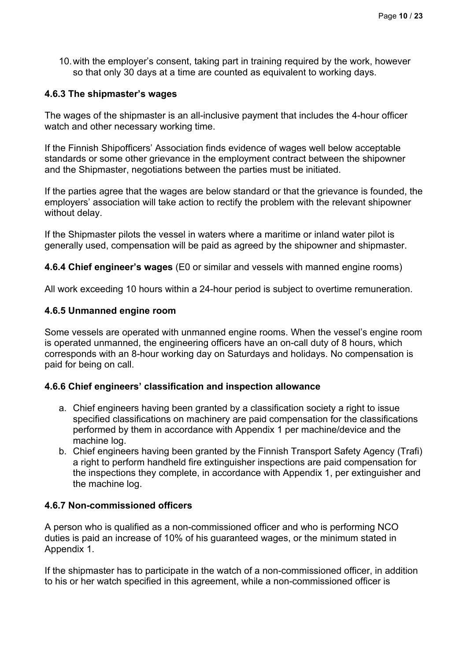10.with the employer's consent, taking part in training required by the work, however so that only 30 days at a time are counted as equivalent to working days.

#### **4.6.3 The shipmaster's wages**

The wages of the shipmaster is an all-inclusive payment that includes the 4-hour officer watch and other necessary working time.

If the Finnish Shipofficers' Association finds evidence of wages well below acceptable standards or some other grievance in the employment contract between the shipowner and the Shipmaster, negotiations between the parties must be initiated.

If the parties agree that the wages are below standard or that the grievance is founded, the employers' association will take action to rectify the problem with the relevant shipowner without delay.

If the Shipmaster pilots the vessel in waters where a maritime or inland water pilot is generally used, compensation will be paid as agreed by the shipowner and shipmaster.

**4.6.4 Chief engineer's wages** (E0 or similar and vessels with manned engine rooms)

All work exceeding 10 hours within a 24-hour period is subject to overtime remuneration.

#### **4.6.5 Unmanned engine room**

Some vessels are operated with unmanned engine rooms. When the vessel's engine room is operated unmanned, the engineering officers have an on-call duty of 8 hours, which corresponds with an 8-hour working day on Saturdays and holidays. No compensation is paid for being on call.

#### **4.6.6 Chief engineers' classification and inspection allowance**

- a. Chief engineers having been granted by a classification society a right to issue specified classifications on machinery are paid compensation for the classifications performed by them in accordance with Appendix 1 per machine/device and the machine log.
- b. Chief engineers having been granted by the Finnish Transport Safety Agency (Trafi) a right to perform handheld fire extinguisher inspections are paid compensation for the inspections they complete, in accordance with Appendix 1, per extinguisher and the machine log.

#### **4.6.7 Non-commissioned officers**

A person who is qualified as a non-commissioned officer and who is performing NCO duties is paid an increase of 10% of his guaranteed wages, or the minimum stated in Appendix 1.

If the shipmaster has to participate in the watch of a non-commissioned officer, in addition to his or her watch specified in this agreement, while a non-commissioned officer is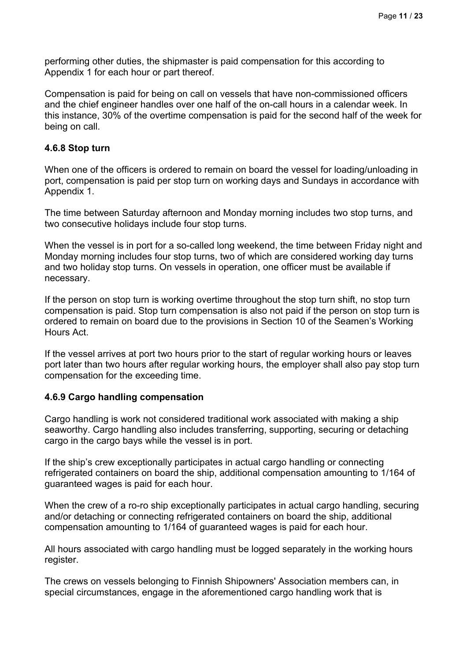performing other duties, the shipmaster is paid compensation for this according to Appendix 1 for each hour or part thereof.

Compensation is paid for being on call on vessels that have non-commissioned officers and the chief engineer handles over one half of the on-call hours in a calendar week. In this instance, 30% of the overtime compensation is paid for the second half of the week for being on call.

#### **4.6.8 Stop turn**

When one of the officers is ordered to remain on board the vessel for loading/unloading in port, compensation is paid per stop turn on working days and Sundays in accordance with Appendix 1.

The time between Saturday afternoon and Monday morning includes two stop turns, and two consecutive holidays include four stop turns.

When the vessel is in port for a so-called long weekend, the time between Friday night and Monday morning includes four stop turns, two of which are considered working day turns and two holiday stop turns. On vessels in operation, one officer must be available if necessary.

If the person on stop turn is working overtime throughout the stop turn shift, no stop turn compensation is paid. Stop turn compensation is also not paid if the person on stop turn is ordered to remain on board due to the provisions in Section 10 of the Seamen's Working Hours Act.

If the vessel arrives at port two hours prior to the start of regular working hours or leaves port later than two hours after regular working hours, the employer shall also pay stop turn compensation for the exceeding time.

#### **4.6.9 Cargo handling compensation**

Cargo handling is work not considered traditional work associated with making a ship seaworthy. Cargo handling also includes transferring, supporting, securing or detaching cargo in the cargo bays while the vessel is in port.

If the ship's crew exceptionally participates in actual cargo handling or connecting refrigerated containers on board the ship, additional compensation amounting to 1/164 of guaranteed wages is paid for each hour.

When the crew of a ro-ro ship exceptionally participates in actual cargo handling, securing and/or detaching or connecting refrigerated containers on board the ship, additional compensation amounting to 1/164 of guaranteed wages is paid for each hour.

All hours associated with cargo handling must be logged separately in the working hours register.

The crews on vessels belonging to Finnish Shipowners' Association members can, in special circumstances, engage in the aforementioned cargo handling work that is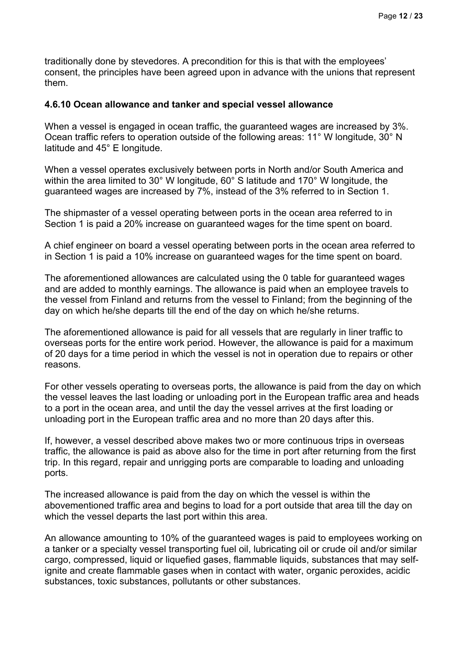traditionally done by stevedores. A precondition for this is that with the employees' consent, the principles have been agreed upon in advance with the unions that represent them.

#### **4.6.10 Ocean allowance and tanker and special vessel allowance**

When a vessel is engaged in ocean traffic, the guaranteed wages are increased by 3%. Ocean traffic refers to operation outside of the following areas: 11° W longitude, 30° N latitude and 45° E longitude.

When a vessel operates exclusively between ports in North and/or South America and within the area limited to 30° W longitude, 60° S latitude and 170° W longitude, the guaranteed wages are increased by 7%, instead of the 3% referred to in Section 1.

The shipmaster of a vessel operating between ports in the ocean area referred to in Section 1 is paid a 20% increase on guaranteed wages for the time spent on board.

A chief engineer on board a vessel operating between ports in the ocean area referred to in Section 1 is paid a 10% increase on guaranteed wages for the time spent on board.

The aforementioned allowances are calculated using the 0 table for guaranteed wages and are added to monthly earnings. The allowance is paid when an employee travels to the vessel from Finland and returns from the vessel to Finland; from the beginning of the day on which he/she departs till the end of the day on which he/she returns.

The aforementioned allowance is paid for all vessels that are regularly in liner traffic to overseas ports for the entire work period. However, the allowance is paid for a maximum of 20 days for a time period in which the vessel is not in operation due to repairs or other reasons.

For other vessels operating to overseas ports, the allowance is paid from the day on which the vessel leaves the last loading or unloading port in the European traffic area and heads to a port in the ocean area, and until the day the vessel arrives at the first loading or unloading port in the European traffic area and no more than 20 days after this.

If, however, a vessel described above makes two or more continuous trips in overseas traffic, the allowance is paid as above also for the time in port after returning from the first trip. In this regard, repair and unrigging ports are comparable to loading and unloading ports.

The increased allowance is paid from the day on which the vessel is within the abovementioned traffic area and begins to load for a port outside that area till the day on which the vessel departs the last port within this area.

An allowance amounting to 10% of the guaranteed wages is paid to employees working on a tanker or a specialty vessel transporting fuel oil, lubricating oil or crude oil and/or similar cargo, compressed, liquid or liquefied gases, flammable liquids, substances that may selfignite and create flammable gases when in contact with water, organic peroxides, acidic substances, toxic substances, pollutants or other substances.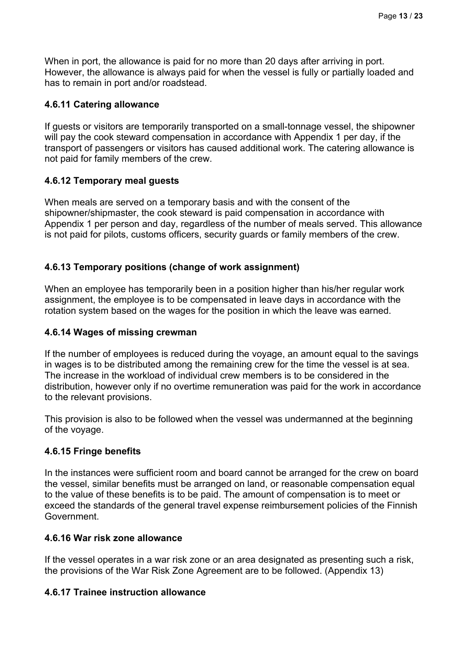When in port, the allowance is paid for no more than 20 days after arriving in port. However, the allowance is always paid for when the vessel is fully or partially loaded and has to remain in port and/or roadstead.

#### **4.6.11 Catering allowance**

If guests or visitors are temporarily transported on a small-tonnage vessel, the shipowner will pay the cook steward compensation in accordance with Appendix 1 per day, if the transport of passengers or visitors has caused additional work. The catering allowance is not paid for family members of the crew.

#### **4.6.12 Temporary meal guests**

When meals are served on a temporary basis and with the consent of the shipowner/shipmaster, the cook steward is paid compensation in accordance with Appendix 1 per person and day, regardless of the number of meals served. This allowance is not paid for pilots, customs officers, security guards or family members of the crew.

#### **4.6.13 Temporary positions (change of work assignment)**

When an employee has temporarily been in a position higher than his/her regular work assignment, the employee is to be compensated in leave days in accordance with the rotation system based on the wages for the position in which the leave was earned.

#### **4.6.14 Wages of missing crewman**

If the number of employees is reduced during the voyage, an amount equal to the savings in wages is to be distributed among the remaining crew for the time the vessel is at sea. The increase in the workload of individual crew members is to be considered in the distribution, however only if no overtime remuneration was paid for the work in accordance to the relevant provisions.

This provision is also to be followed when the vessel was undermanned at the beginning of the voyage.

#### **4.6.15 Fringe benefits**

In the instances were sufficient room and board cannot be arranged for the crew on board the vessel, similar benefits must be arranged on land, or reasonable compensation equal to the value of these benefits is to be paid. The amount of compensation is to meet or exceed the standards of the general travel expense reimbursement policies of the Finnish Government.

#### **4.6.16 War risk zone allowance**

If the vessel operates in a war risk zone or an area designated as presenting such a risk, the provisions of the War Risk Zone Agreement are to be followed. (Appendix 13)

#### **4.6.17 Trainee instruction allowance**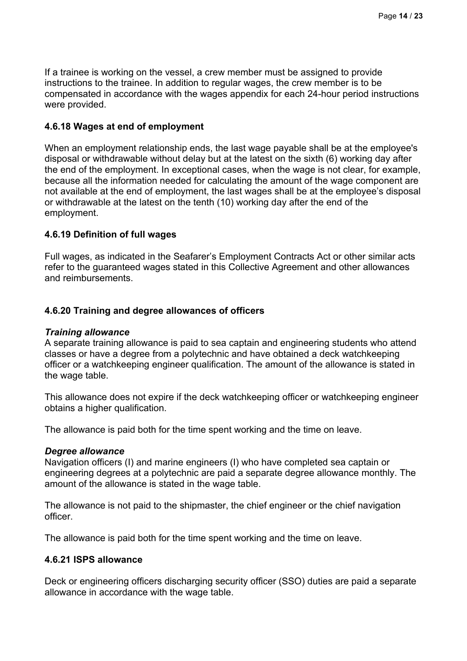If a trainee is working on the vessel, a crew member must be assigned to provide instructions to the trainee. In addition to regular wages, the crew member is to be compensated in accordance with the wages appendix for each 24-hour period instructions were provided.

#### **4.6.18 Wages at end of employment**

When an employment relationship ends, the last wage payable shall be at the employee's disposal or withdrawable without delay but at the latest on the sixth (6) working day after the end of the employment. In exceptional cases, when the wage is not clear, for example, because all the information needed for calculating the amount of the wage component are not available at the end of employment, the last wages shall be at the employee's disposal or withdrawable at the latest on the tenth (10) working day after the end of the employment.

#### **4.6.19 Definition of full wages**

Full wages, as indicated in the Seafarer's Employment Contracts Act or other similar acts refer to the guaranteed wages stated in this Collective Agreement and other allowances and reimbursements.

#### **4.6.20 Training and degree allowances of officers**

#### *Training allowance*

A separate training allowance is paid to sea captain and engineering students who attend classes or have a degree from a polytechnic and have obtained a deck watchkeeping officer or a watchkeeping engineer qualification. The amount of the allowance is stated in the wage table.

This allowance does not expire if the deck watchkeeping officer or watchkeeping engineer obtains a higher qualification.

The allowance is paid both for the time spent working and the time on leave.

#### *Degree allowance*

Navigation officers (I) and marine engineers (I) who have completed sea captain or engineering degrees at a polytechnic are paid a separate degree allowance monthly. The amount of the allowance is stated in the wage table.

The allowance is not paid to the shipmaster, the chief engineer or the chief navigation officer.

The allowance is paid both for the time spent working and the time on leave.

#### **4.6.21 ISPS allowance**

Deck or engineering officers discharging security officer (SSO) duties are paid a separate allowance in accordance with the wage table.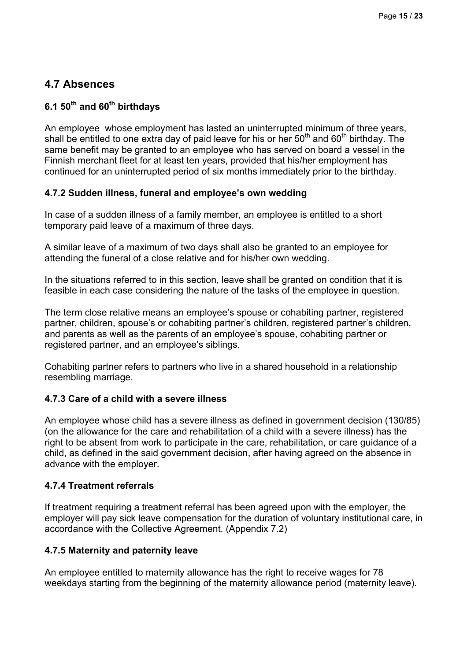# **4.7 Absences**

### **6.1 50th and 60th birthdays**

An employee whose employment has lasted an uninterrupted minimum of three years, shall be entitled to one extra day of paid leave for his or her  $50<sup>th</sup>$  and  $60<sup>th</sup>$  birthday. The same benefit may be granted to an employee who has served on board a vessel in the Finnish merchant fleet for at least ten years, provided that his/her employment has continued for an uninterrupted period of six months immediately prior to the birthday.

#### **4.7.2 Sudden illness, funeral and employee's own wedding**

In case of a sudden illness of a family member, an employee is entitled to a short temporary paid leave of a maximum of three days.

A similar leave of a maximum of two days shall also be granted to an employee for attending the funeral of a close relative and for his/her own wedding.

In the situations referred to in this section, leave shall be granted on condition that it is feasible in each case considering the nature of the tasks of the employee in question.

The term close relative means an employee's spouse or cohabiting partner, registered partner, children, spouse's or cohabiting partner's children, registered partner's children, and parents as well as the parents of an employee's spouse, cohabiting partner or registered partner, and an employee's siblings.

Cohabiting partner refers to partners who live in a shared household in a relationship resembling marriage.

#### **4.7.3 Care of a child with a severe illness**

An employee whose child has a severe illness as defined in government decision (130/85) (on the allowance for the care and rehabilitation of a child with a severe illness) has the right to be absent from work to participate in the care, rehabilitation, or care guidance of a child, as defined in the said government decision, after having agreed on the absence in advance with the employer.

#### **4.7.4 Treatment referrals**

If treatment requiring a treatment referral has been agreed upon with the employer, the employer will pay sick leave compensation for the duration of voluntary institutional care, in accordance with the Collective Agreement. (Appendix 7.2)

#### **4.7.5 Maternity and paternity leave**

An employee entitled to maternity allowance has the right to receive wages for 78 weekdays starting from the beginning of the maternity allowance period (maternity leave).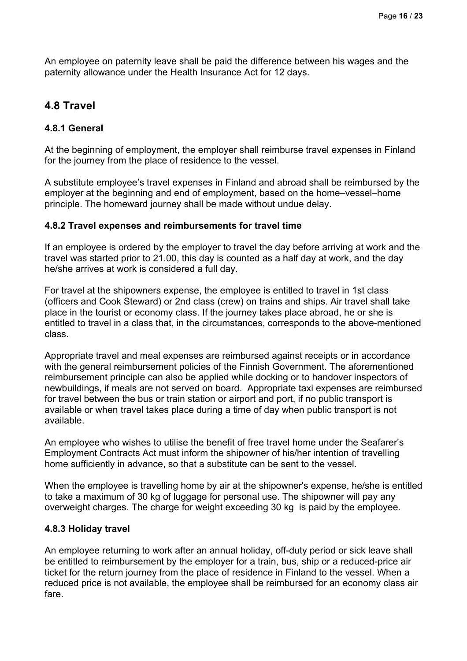An employee on paternity leave shall be paid the difference between his wages and the paternity allowance under the Health Insurance Act for 12 days.

### **4.8 Travel**

#### **4.8.1 General**

At the beginning of employment, the employer shall reimburse travel expenses in Finland for the journey from the place of residence to the vessel.

A substitute employee's travel expenses in Finland and abroad shall be reimbursed by the employer at the beginning and end of employment, based on the home–vessel–home principle. The homeward journey shall be made without undue delay.

#### **4.8.2 Travel expenses and reimbursements for travel time**

If an employee is ordered by the employer to travel the day before arriving at work and the travel was started prior to 21.00, this day is counted as a half day at work, and the day he/she arrives at work is considered a full day.

For travel at the shipowners expense, the employee is entitled to travel in 1st class (officers and Cook Steward) or 2nd class (crew) on trains and ships. Air travel shall take place in the tourist or economy class. If the journey takes place abroad, he or she is entitled to travel in a class that, in the circumstances, corresponds to the above-mentioned class.

Appropriate travel and meal expenses are reimbursed against receipts or in accordance with the general reimbursement policies of the Finnish Government. The aforementioned reimbursement principle can also be applied while docking or to handover inspectors of newbuildings, if meals are not served on board. Appropriate taxi expenses are reimbursed for travel between the bus or train station or airport and port, if no public transport is available or when travel takes place during a time of day when public transport is not available.

An employee who wishes to utilise the benefit of free travel home under the Seafarer's Employment Contracts Act must inform the shipowner of his/her intention of travelling home sufficiently in advance, so that a substitute can be sent to the vessel.

When the employee is travelling home by air at the shipowner's expense, he/she is entitled to take a maximum of 30 kg of luggage for personal use. The shipowner will pay any overweight charges. The charge for weight exceeding 30 kg is paid by the employee.

#### **4.8.3 Holiday travel**

An employee returning to work after an annual holiday, off-duty period or sick leave shall be entitled to reimbursement by the employer for a train, bus, ship or a reduced-price air ticket for the return journey from the place of residence in Finland to the vessel. When a reduced price is not available, the employee shall be reimbursed for an economy class air fare.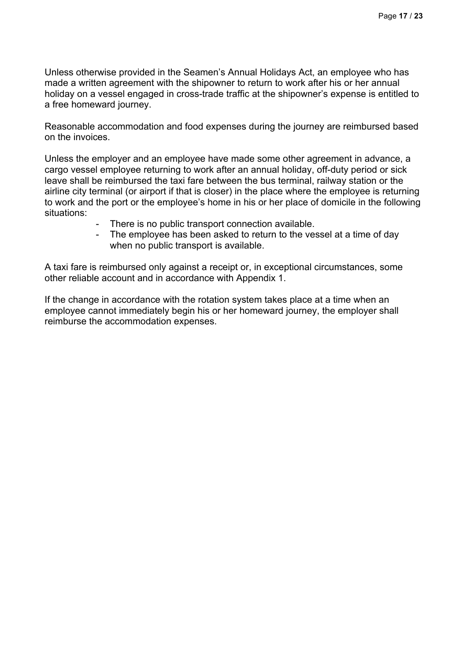Unless otherwise provided in the Seamen's Annual Holidays Act, an employee who has made a written agreement with the shipowner to return to work after his or her annual holiday on a vessel engaged in cross-trade traffic at the shipowner's expense is entitled to a free homeward journey.

Reasonable accommodation and food expenses during the journey are reimbursed based on the invoices.

Unless the employer and an employee have made some other agreement in advance, a cargo vessel employee returning to work after an annual holiday, off-duty period or sick leave shall be reimbursed the taxi fare between the bus terminal, railway station or the airline city terminal (or airport if that is closer) in the place where the employee is returning to work and the port or the employee's home in his or her place of domicile in the following situations:

- There is no public transport connection available.
- The employee has been asked to return to the vessel at a time of day when no public transport is available.

A taxi fare is reimbursed only against a receipt or, in exceptional circumstances, some other reliable account and in accordance with Appendix 1.

If the change in accordance with the rotation system takes place at a time when an employee cannot immediately begin his or her homeward journey, the employer shall reimburse the accommodation expenses.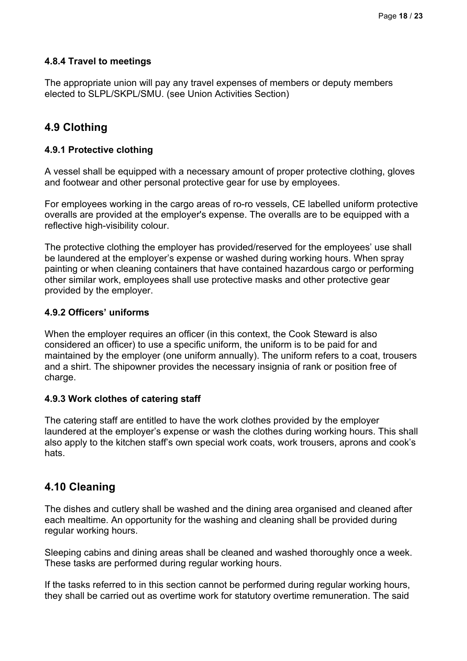#### **4.8.4 Travel to meetings**

The appropriate union will pay any travel expenses of members or deputy members elected to SLPL/SKPL/SMU. (see Union Activities Section)

### **4.9 Clothing**

#### **4.9.1 Protective clothing**

A vessel shall be equipped with a necessary amount of proper protective clothing, gloves and footwear and other personal protective gear for use by employees.

For employees working in the cargo areas of ro-ro vessels, CE labelled uniform protective overalls are provided at the employer's expense. The overalls are to be equipped with a reflective high-visibility colour.

The protective clothing the employer has provided/reserved for the employees' use shall be laundered at the employer's expense or washed during working hours. When spray painting or when cleaning containers that have contained hazardous cargo or performing other similar work, employees shall use protective masks and other protective gear provided by the employer.

#### **4.9.2 Officers' uniforms**

When the employer requires an officer (in this context, the Cook Steward is also considered an officer) to use a specific uniform, the uniform is to be paid for and maintained by the employer (one uniform annually). The uniform refers to a coat, trousers and a shirt. The shipowner provides the necessary insignia of rank or position free of charge.

#### **4.9.3 Work clothes of catering staff**

The catering staff are entitled to have the work clothes provided by the employer laundered at the employer's expense or wash the clothes during working hours. This shall also apply to the kitchen staff's own special work coats, work trousers, aprons and cook's hats.

### **4.10 Cleaning**

The dishes and cutlery shall be washed and the dining area organised and cleaned after each mealtime. An opportunity for the washing and cleaning shall be provided during regular working hours.

Sleeping cabins and dining areas shall be cleaned and washed thoroughly once a week. These tasks are performed during regular working hours.

If the tasks referred to in this section cannot be performed during regular working hours, they shall be carried out as overtime work for statutory overtime remuneration. The said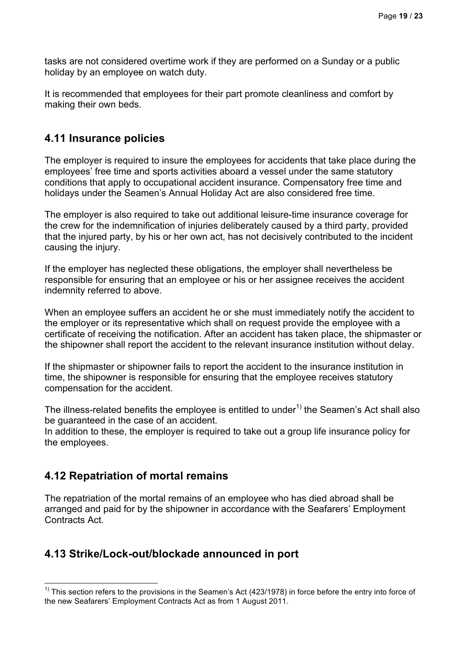tasks are not considered overtime work if they are performed on a Sunday or a public holiday by an employee on watch duty.

It is recommended that employees for their part promote cleanliness and comfort by making their own beds.

### **4.11 Insurance policies**

The employer is required to insure the employees for accidents that take place during the employees' free time and sports activities aboard a vessel under the same statutory conditions that apply to occupational accident insurance. Compensatory free time and holidays under the Seamen's Annual Holiday Act are also considered free time.

The employer is also required to take out additional leisure-time insurance coverage for the crew for the indemnification of injuries deliberately caused by a third party, provided that the injured party, by his or her own act, has not decisively contributed to the incident causing the injury.

If the employer has neglected these obligations, the employer shall nevertheless be responsible for ensuring that an employee or his or her assignee receives the accident indemnity referred to above.

When an employee suffers an accident he or she must immediately notify the accident to the employer or its representative which shall on request provide the employee with a certificate of receiving the notification. After an accident has taken place, the shipmaster or the shipowner shall report the accident to the relevant insurance institution without delay.

If the shipmaster or shipowner fails to report the accident to the insurance institution in time, the shipowner is responsible for ensuring that the employee receives statutory compensation for the accident.

The illness-related benefits the employee is entitled to under<sup>1)</sup> the Seamen's Act shall also be guaranteed in the case of an accident.

In addition to these, the employer is required to take out a group life insurance policy for the employees.

### **4.12 Repatriation of mortal remains**

The repatriation of the mortal remains of an employee who has died abroad shall be arranged and paid for by the shipowner in accordance with the Seafarers' Employment Contracts Act.

## **4.13 Strike/Lock-out/blockade announced in port**

This section refers to the provisions in the Seamen's Act (423/1978) in force before the entry into force of <sup>1)</sup><br><sup>1)</sup> This section refers to the provisions in the Seamen's Act (423/1978) in force before the entry into for the new Seafarers' Employment Contracts Act as from 1 August 2011.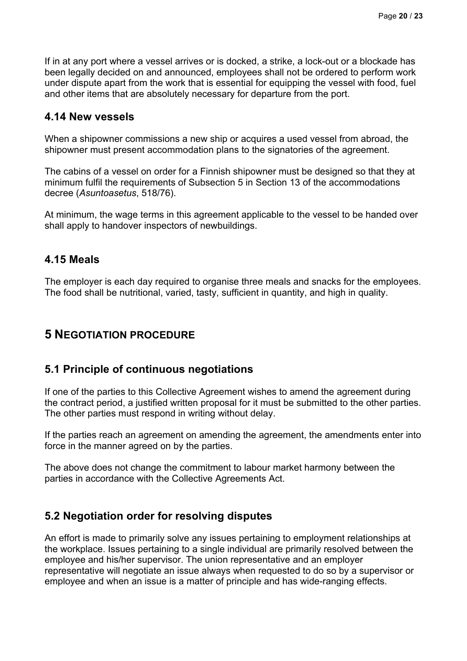If in at any port where a vessel arrives or is docked, a strike, a lock-out or a blockade has been legally decided on and announced, employees shall not be ordered to perform work under dispute apart from the work that is essential for equipping the vessel with food, fuel and other items that are absolutely necessary for departure from the port.

### **4.14 New vessels**

When a shipowner commissions a new ship or acquires a used vessel from abroad, the shipowner must present accommodation plans to the signatories of the agreement.

The cabins of a vessel on order for a Finnish shipowner must be designed so that they at minimum fulfil the requirements of Subsection 5 in Section 13 of the accommodations decree (*Asuntoasetus*, 518/76).

At minimum, the wage terms in this agreement applicable to the vessel to be handed over shall apply to handover inspectors of newbuildings.

### **4.15 Meals**

The employer is each day required to organise three meals and snacks for the employees. The food shall be nutritional, varied, tasty, sufficient in quantity, and high in quality.

## **5 NEGOTIATION PROCEDURE**

### **5.1 Principle of continuous negotiations**

If one of the parties to this Collective Agreement wishes to amend the agreement during the contract period, a justified written proposal for it must be submitted to the other parties. The other parties must respond in writing without delay.

If the parties reach an agreement on amending the agreement, the amendments enter into force in the manner agreed on by the parties.

The above does not change the commitment to labour market harmony between the parties in accordance with the Collective Agreements Act.

### **5.2 Negotiation order for resolving disputes**

An effort is made to primarily solve any issues pertaining to employment relationships at the workplace. Issues pertaining to a single individual are primarily resolved between the employee and his/her supervisor. The union representative and an employer representative will negotiate an issue always when requested to do so by a supervisor or employee and when an issue is a matter of principle and has wide-ranging effects.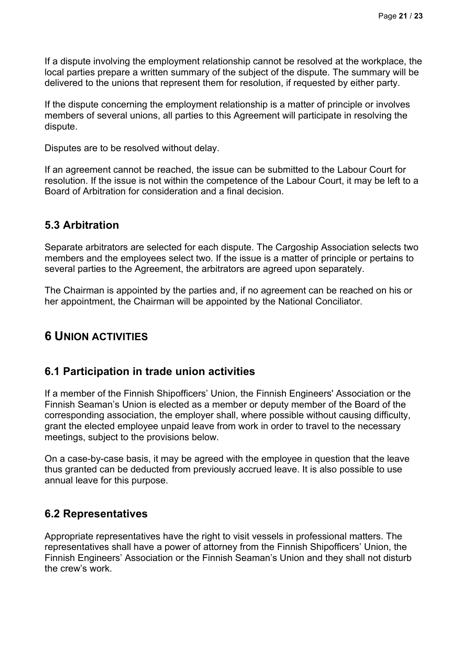If a dispute involving the employment relationship cannot be resolved at the workplace, the local parties prepare a written summary of the subject of the dispute. The summary will be delivered to the unions that represent them for resolution, if requested by either party.

If the dispute concerning the employment relationship is a matter of principle or involves members of several unions, all parties to this Agreement will participate in resolving the dispute.

Disputes are to be resolved without delay.

If an agreement cannot be reached, the issue can be submitted to the Labour Court for resolution. If the issue is not within the competence of the Labour Court, it may be left to a Board of Arbitration for consideration and a final decision.

# **5.3 Arbitration**

Separate arbitrators are selected for each dispute. The Cargoship Association selects two members and the employees select two. If the issue is a matter of principle or pertains to several parties to the Agreement, the arbitrators are agreed upon separately.

The Chairman is appointed by the parties and, if no agreement can be reached on his or her appointment, the Chairman will be appointed by the National Conciliator.

# **6 UNION ACTIVITIES**

## **6.1 Participation in trade union activities**

If a member of the Finnish Shipofficers' Union, the Finnish Engineers' Association or the Finnish Seaman's Union is elected as a member or deputy member of the Board of the corresponding association, the employer shall, where possible without causing difficulty, grant the elected employee unpaid leave from work in order to travel to the necessary meetings, subject to the provisions below.

On a case-by-case basis, it may be agreed with the employee in question that the leave thus granted can be deducted from previously accrued leave. It is also possible to use annual leave for this purpose.

## **6.2 Representatives**

Appropriate representatives have the right to visit vessels in professional matters. The representatives shall have a power of attorney from the Finnish Shipofficers' Union, the Finnish Engineers' Association or the Finnish Seaman's Union and they shall not disturb the crew's work.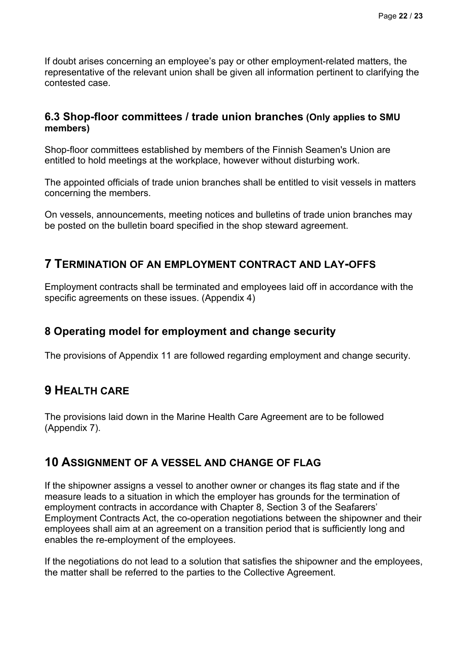If doubt arises concerning an employee's pay or other employment-related matters, the representative of the relevant union shall be given all information pertinent to clarifying the contested case.

### **6.3 Shop-floor committees / trade union branches (Only applies to SMU members)**

Shop-floor committees established by members of the Finnish Seamen's Union are entitled to hold meetings at the workplace, however without disturbing work.

The appointed officials of trade union branches shall be entitled to visit vessels in matters concerning the members.

On vessels, announcements, meeting notices and bulletins of trade union branches may be posted on the bulletin board specified in the shop steward agreement.

## **7 TERMINATION OF AN EMPLOYMENT CONTRACT AND LAY-OFFS**

Employment contracts shall be terminated and employees laid off in accordance with the specific agreements on these issues. (Appendix 4)

## **8 Operating model for employment and change security**

The provisions of Appendix 11 are followed regarding employment and change security.

# **9 HEALTH CARE**

The provisions laid down in the Marine Health Care Agreement are to be followed (Appendix 7).

## **10 ASSIGNMENT OF A VESSEL AND CHANGE OF FLAG**

If the shipowner assigns a vessel to another owner or changes its flag state and if the measure leads to a situation in which the employer has grounds for the termination of employment contracts in accordance with Chapter 8, Section 3 of the Seafarers' Employment Contracts Act, the co-operation negotiations between the shipowner and their employees shall aim at an agreement on a transition period that is sufficiently long and enables the re-employment of the employees.

If the negotiations do not lead to a solution that satisfies the shipowner and the employees, the matter shall be referred to the parties to the Collective Agreement.